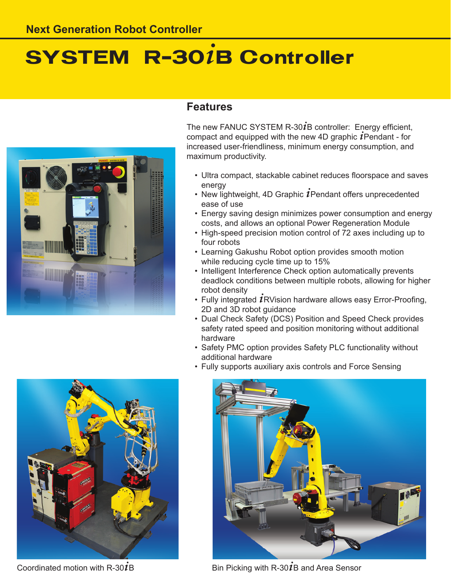# **SYSTEM R-301B Controller**



## **Features**

The new FANUC SYSTEM R-30 $\bm{i}$ B controller: Energy efficient, compact and equipped with the new 4D graphic  *Pendant - for* increased user-friendliness, minimum energy consumption, and maximum productivity.

- Ultra compact, stackable cabinet reduces floorspace and saves energy
- New lightweight, 4D Graphic  $i$ Pendant offers unprecedented ease of use
- Energy saving design minimizes power consumption and energy costs, and allows an optional Power Regeneration Module
- High-speed precision motion control of 72 axes including up to four robots
- Learning Gakushu Robot option provides smooth motion while reducing cycle time up to 15%
- Intelligent Interference Check option automatically prevents deadlock conditions between multiple robots, allowing for higher robot density
- Fully integrated  $i$ RVision hardware allows easy Error-Proofing, 2D and 3D robot guidance
- Dual Check Safety (DCS) Position and Speed Check provides safety rated speed and position monitoring without additional hardware
- Safety PMC option provides Safety PLC functionality without additional hardware
- Fully supports auxiliary axis controls and Force Sensing



Coordinated motion with  $R-30IB$ 



Bin Picking with R-30 $\overline{1}$ B and Area Sensor